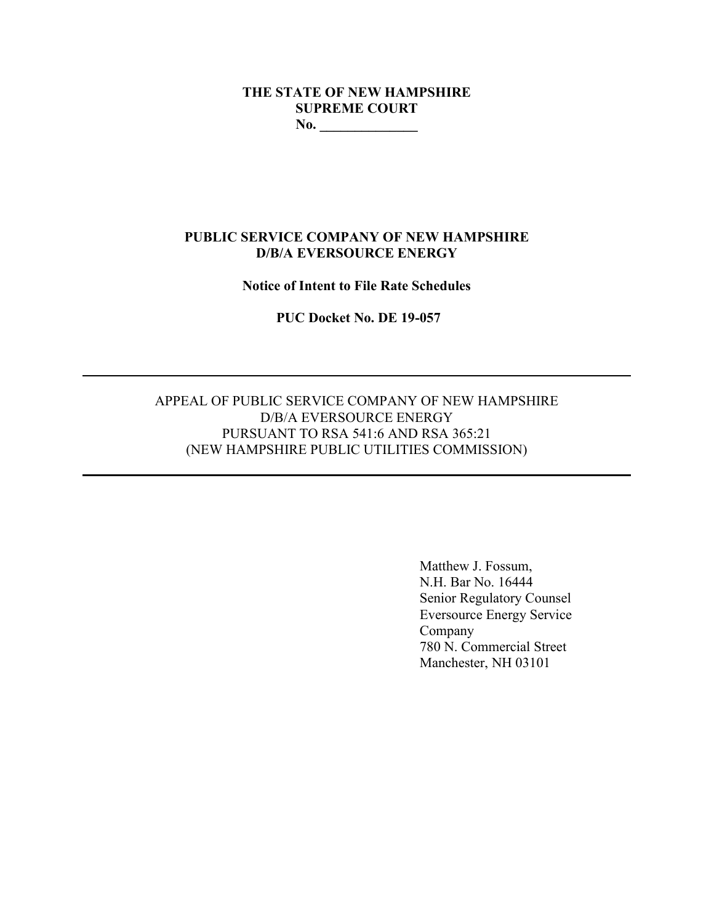# **THE STATE OF NEW HAMPSHIRE SUPREME COURT No. \_\_\_\_\_\_\_\_\_\_\_\_\_\_**

# **PUBLIC SERVICE COMPANY OF NEW HAMPSHIRE D/B/A EVERSOURCE ENERGY**

#### **Notice of Intent to File Rate Schedules**

**PUC Docket No. DE 19-057**

# APPEAL OF PUBLIC SERVICE COMPANY OF NEW HAMPSHIRE D/B/A EVERSOURCE ENERGY PURSUANT TO RSA 541:6 AND RSA 365:21 (NEW HAMPSHIRE PUBLIC UTILITIES COMMISSION)

Matthew J. Fossum, N.H. Bar No. 16444 Senior Regulatory Counsel Eversource Energy Service Company 780 N. Commercial Street Manchester, NH 03101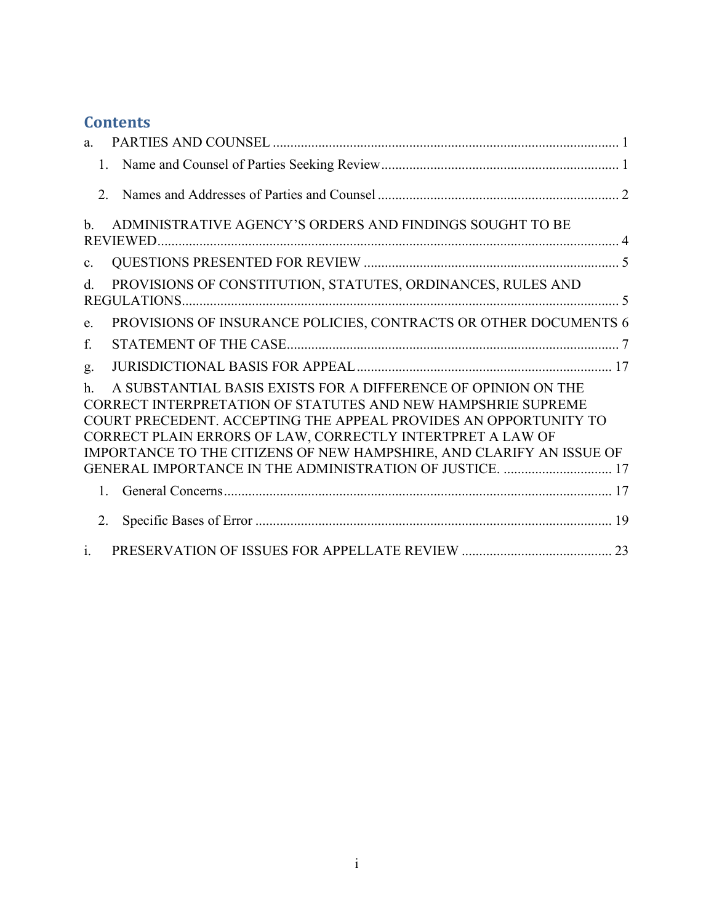# **Contents**

| a.                                                                                                                                                                                                                                                                                                                                                                                                                    |                                                                  |  |
|-----------------------------------------------------------------------------------------------------------------------------------------------------------------------------------------------------------------------------------------------------------------------------------------------------------------------------------------------------------------------------------------------------------------------|------------------------------------------------------------------|--|
|                                                                                                                                                                                                                                                                                                                                                                                                                       | 1.                                                               |  |
| $\mathcal{D}$                                                                                                                                                                                                                                                                                                                                                                                                         |                                                                  |  |
| $h_{\cdot}$                                                                                                                                                                                                                                                                                                                                                                                                           | ADMINISTRATIVE AGENCY'S ORDERS AND FINDINGS SOUGHT TO BE         |  |
| C <sub>1</sub>                                                                                                                                                                                                                                                                                                                                                                                                        |                                                                  |  |
| d.                                                                                                                                                                                                                                                                                                                                                                                                                    | PROVISIONS OF CONSTITUTION, STATUTES, ORDINANCES, RULES AND      |  |
| e.                                                                                                                                                                                                                                                                                                                                                                                                                    | PROVISIONS OF INSURANCE POLICIES, CONTRACTS OR OTHER DOCUMENTS 6 |  |
| f.                                                                                                                                                                                                                                                                                                                                                                                                                    |                                                                  |  |
| g.                                                                                                                                                                                                                                                                                                                                                                                                                    |                                                                  |  |
| A SUBSTANTIAL BASIS EXISTS FOR A DIFFERENCE OF OPINION ON THE<br>$\mathbf{h}$ .<br>CORRECT INTERPRETATION OF STATUTES AND NEW HAMPSHRIE SUPREME<br>COURT PRECEDENT. ACCEPTING THE APPEAL PROVIDES AN OPPORTUNITY TO<br>CORRECT PLAIN ERRORS OF LAW, CORRECTLY INTERTPRET A LAW OF<br>IMPORTANCE TO THE CITIZENS OF NEW HAMPSHIRE, AND CLARIFY AN ISSUE OF<br>GENERAL IMPORTANCE IN THE ADMINISTRATION OF JUSTICE.  17 |                                                                  |  |
| $1_{-}$                                                                                                                                                                                                                                                                                                                                                                                                               |                                                                  |  |
| 2.                                                                                                                                                                                                                                                                                                                                                                                                                    |                                                                  |  |
| $\mathbf{i}$ .                                                                                                                                                                                                                                                                                                                                                                                                        |                                                                  |  |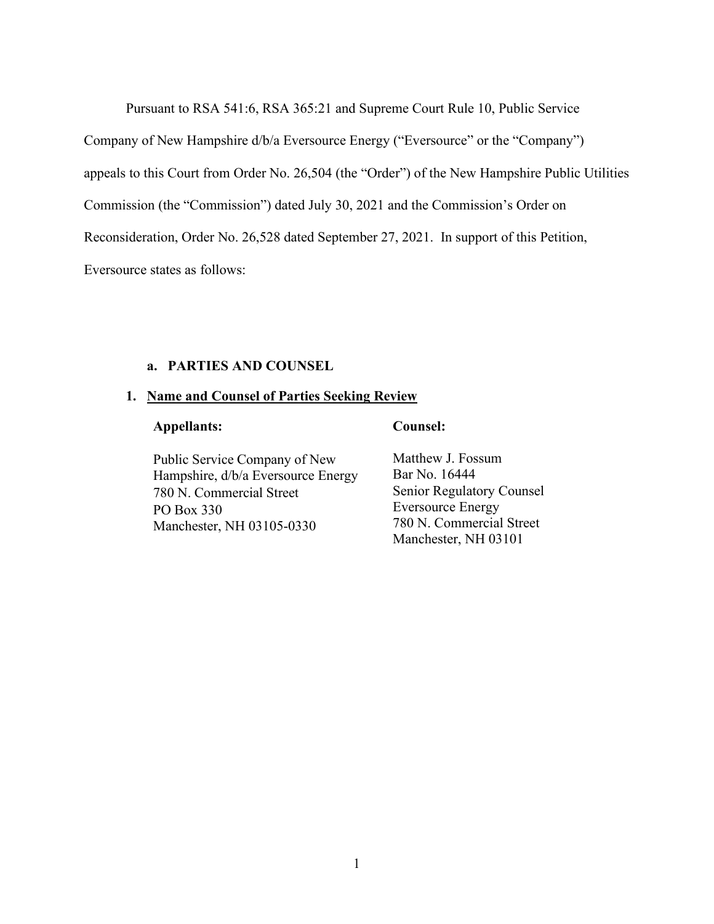Pursuant to RSA 541:6, RSA 365:21 and Supreme Court Rule 10, Public Service

Company of New Hampshire d/b/a Eversource Energy ("Eversource" or the "Company")

appeals to this Court from Order No. 26,504 (the "Order") of the New Hampshire Public Utilities

Commission (the "Commission") dated July 30, 2021 and the Commission's Order on

Reconsideration, Order No. 26,528 dated September 27, 2021. In support of this Petition,

Eversource states as follows:

# **a. PARTIES AND COUNSEL**

#### <span id="page-2-1"></span><span id="page-2-0"></span>**1. Name and Counsel of Parties Seeking Review**

# **Appellants: Counsel:**

Public Service Company of New Hampshire, d/b/a Eversource Energy 780 N. Commercial Street PO Box 330 Manchester, NH 03105-0330

Matthew J. Fossum Bar No. 16444 Senior Regulatory Counsel Eversource Energy 780 N. Commercial Street Manchester, NH 03101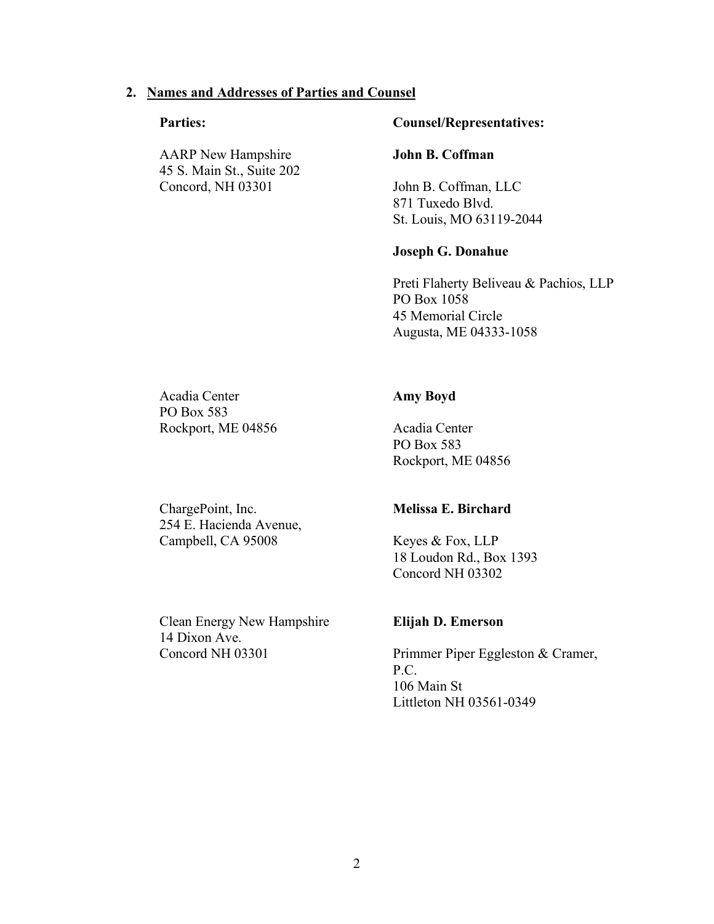#### <span id="page-3-0"></span>**2. Names and Addresses of Parties and Counsel**

AARP New Hampshire 45 S. Main St., Suite 202 Concord, NH 03301

## **Parties: Counsel/Representatives:**

#### **John B. Coffman**

John B. Coffman, LLC 871 Tuxedo Blvd. St. Louis, MO 63119-2044

#### **Joseph G. Donahue**

Preti Flaherty Beliveau & Pachios, LLP PO Box 1058 45 Memorial Circle Augusta, ME 04333-1058

Acadia Center PO Box 583 Rockport, ME 04856

# **Amy Boyd**

Acadia Center PO Box 583 Rockport, ME 04856

ChargePoint, Inc. 254 E. Hacienda Avenue, Campbell, CA 95008

#### **Melissa E. Birchard**

Keyes & Fox, LLP 18 Loudon Rd., Box 1393 Concord NH 03302

Clean Energy New Hampshire 14 Dixon Ave. Concord NH 03301

#### **Elijah D. Emerson**

Primmer Piper Eggleston & Cramer, P.C. 106 Main St Littleton NH 03561-0349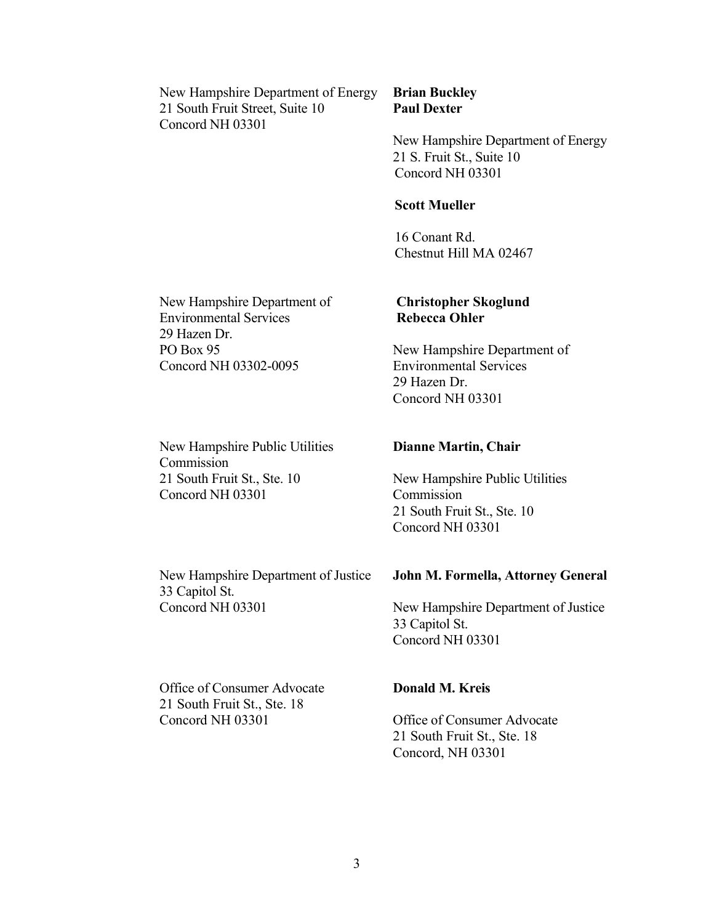New Hampshire Department of Energy 21 South Fruit Street, Suite 10 Concord NH 03301

# **Brian Buckley Paul Dexter**

New Hampshire Department of Energy 21 S. Fruit St., Suite 10 Concord NH 03301

## **Scott Mueller**

16 Conant Rd. Chestnut Hill MA 02467

**Christopher Skoglund**

Environmental Services

New Hampshire Department of

**Rebecca Ohler**

29 Hazen Dr.

New Hampshire Department of Environmental Services 29 Hazen Dr. PO Box 95 Concord NH 03302-0095

New Hampshire Public Utilities Commission 21 South Fruit St., Ste. 10 Concord NH 03301

# **Dianne Martin, Chair**

Concord NH 03301

New Hampshire Public Utilities Commission 21 South Fruit St., Ste. 10 Concord NH 03301

New Hampshire Department of Justice 33 Capitol St. Concord NH 03301

#### **John M. Formella, Attorney General**

New Hampshire Department of Justice 33 Capitol St. Concord NH 03301

Office of Consumer Advocate 21 South Fruit St., Ste. 18 Concord NH 03301

# **Donald M. Kreis**

Office of Consumer Advocate 21 South Fruit St., Ste. 18 Concord, NH 03301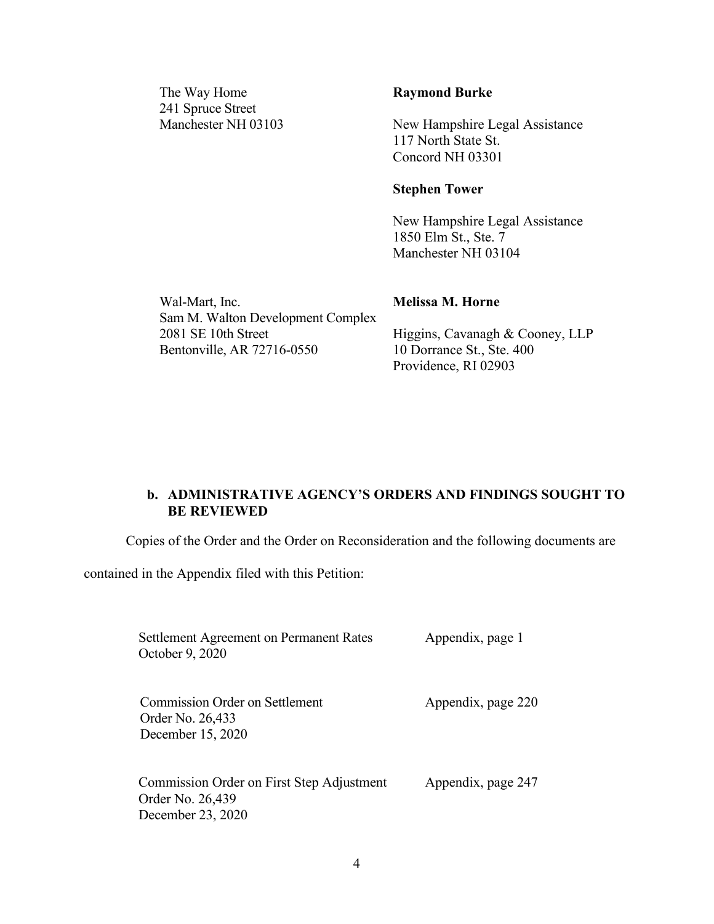The Way Home 241 Spruce Street Manchester NH 03103

#### **Raymond Burke**

New Hampshire Legal Assistance 117 North State St. Concord NH 03301

#### **Stephen Tower**

New Hampshire Legal Assistance 1850 Elm St., Ste. 7 Manchester NH 03104

Wal-Mart, Inc. Sam M. Walton Development Complex 2081 SE 10th Street Bentonville, AR 72716-0550

#### **Melissa M. Horne**

Higgins, Cavanagh & Cooney, LLP 10 Dorrance St., Ste. 400 Providence, RI 02903

# <span id="page-5-0"></span>**b. ADMINISTRATIVE AGENCY'S ORDERS AND FINDINGS SOUGHT TO BE REVIEWED**

Copies of the Order and the Order on Reconsideration and the following documents are

contained in the Appendix filed with this Petition:

Settlement Agreement on Permanent Rates October 9, 2020 Appendix, page 1 Commission Order on Settlement Order No. 26,433 December 15, 2020 Appendix, page 220

Commission Order on First Step Adjustment Order No. 26,439 December 23, 2020 Appendix, page 247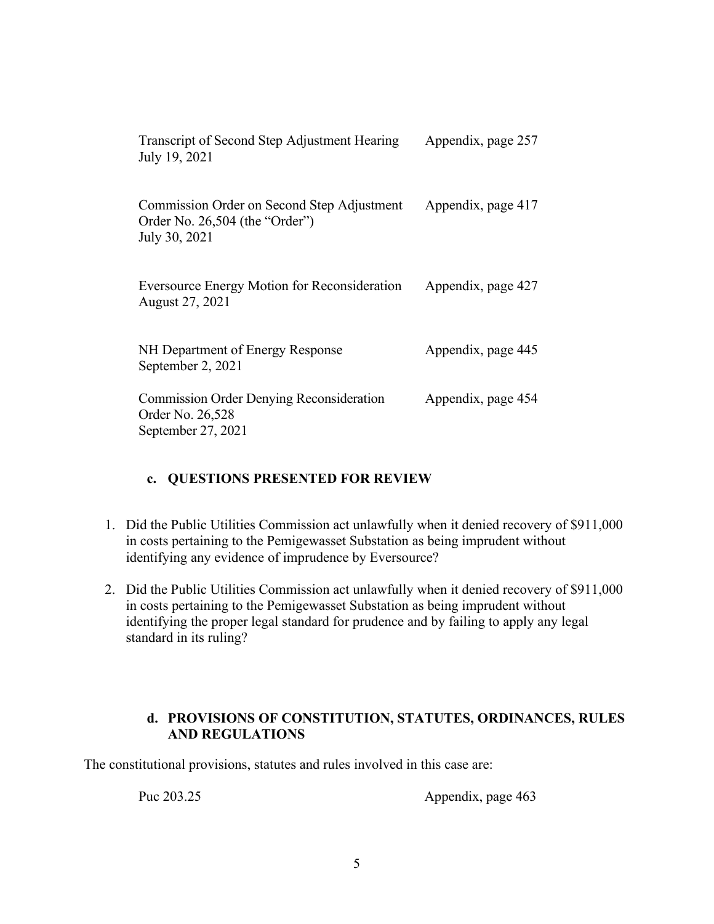| Transcript of Second Step Adjustment Hearing<br>July 19, 2021                                 | Appendix, page 257 |
|-----------------------------------------------------------------------------------------------|--------------------|
| Commission Order on Second Step Adjustment<br>Order No. 26,504 (the "Order")<br>July 30, 2021 | Appendix, page 417 |
| <b>Eversource Energy Motion for Reconsideration</b><br>August 27, 2021                        | Appendix, page 427 |
| NH Department of Energy Response<br>September 2, 2021                                         | Appendix, page 445 |
| <b>Commission Order Denying Reconsideration</b><br>Order No. 26,528<br>September 27, 2021     | Appendix, page 454 |

# **c. QUESTIONS PRESENTED FOR REVIEW**

- <span id="page-6-0"></span>1. Did the Public Utilities Commission act unlawfully when it denied recovery of \$911,000 in costs pertaining to the Pemigewasset Substation as being imprudent without identifying any evidence of imprudence by Eversource?
- 2. Did the Public Utilities Commission act unlawfully when it denied recovery of \$911,000 in costs pertaining to the Pemigewasset Substation as being imprudent without identifying the proper legal standard for prudence and by failing to apply any legal standard in its ruling?

# **d. PROVISIONS OF CONSTITUTION, STATUTES, ORDINANCES, RULES AND REGULATIONS**

<span id="page-6-1"></span>The constitutional provisions, statutes and rules involved in this case are:

Puc 203.25 Appendix, page 463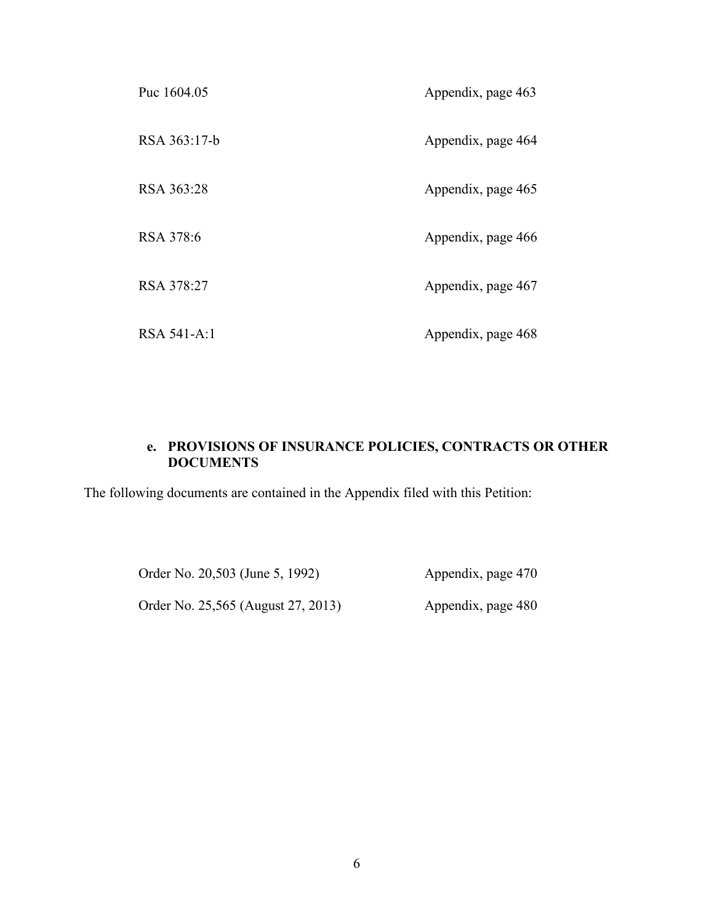| Puc 1604.05  | Appendix, page 463 |
|--------------|--------------------|
| RSA 363:17-b | Appendix, page 464 |
| RSA 363:28   | Appendix, page 465 |
| RSA 378:6    | Appendix, page 466 |
| RSA 378:27   | Appendix, page 467 |
| RSA 541-A:1  | Appendix, page 468 |

# **e. PROVISIONS OF INSURANCE POLICIES, CONTRACTS OR OTHER DOCUMENTS**

<span id="page-7-0"></span>The following documents are contained in the Appendix filed with this Petition:

Order No. 20,503 (June 5, 1992) Appendix, page 470 Order No. 25,565 (August 27, 2013) Appendix, page 480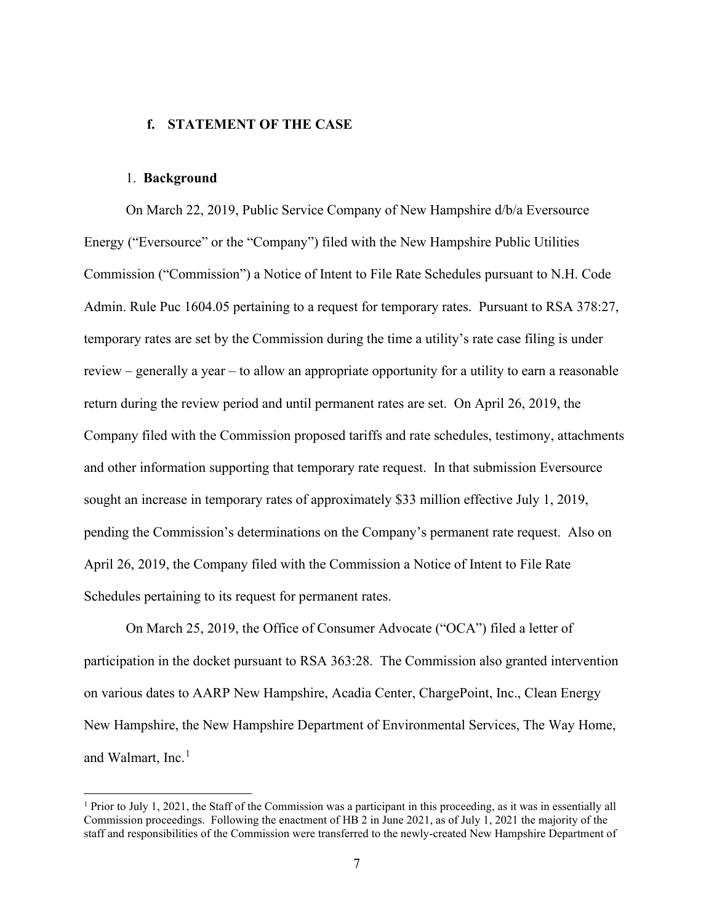#### <span id="page-8-0"></span>**f. STATEMENT OF THE CASE**

#### 1. **Background**

On March 22, 2019, Public Service Company of New Hampshire d/b/a Eversource Energy ("Eversource" or the "Company") filed with the New Hampshire Public Utilities Commission ("Commission") a Notice of Intent to File Rate Schedules pursuant to N.H. Code Admin. Rule Puc 1604.05 pertaining to a request for temporary rates. Pursuant to RSA 378:27, temporary rates are set by the Commission during the time a utility's rate case filing is under review – generally a year – to allow an appropriate opportunity for a utility to earn a reasonable return during the review period and until permanent rates are set. On April 26, 2019, the Company filed with the Commission proposed tariffs and rate schedules, testimony, attachments and other information supporting that temporary rate request. In that submission Eversource sought an increase in temporary rates of approximately \$33 million effective July 1, 2019, pending the Commission's determinations on the Company's permanent rate request. Also on April 26, 2019, the Company filed with the Commission a Notice of Intent to File Rate Schedules pertaining to its request for permanent rates.

On March 25, 2019, the Office of Consumer Advocate ("OCA") filed a letter of participation in the docket pursuant to RSA 363:28. The Commission also granted intervention on various dates to AARP New Hampshire, Acadia Center, ChargePoint, Inc., Clean Energy New Hampshire, the New Hampshire Department of Environmental Services, The Way Home, and Walmart, Inc.<sup>[1](#page-8-1)</sup>

<span id="page-8-1"></span><sup>&</sup>lt;sup>1</sup> Prior to July 1, 2021, the Staff of the Commission was a participant in this proceeding, as it was in essentially all Commission proceedings. Following the enactment of HB 2 in June 2021, as of July 1, 2021 the majority of the staff and responsibilities of the Commission were transferred to the newly-created New Hampshire Department of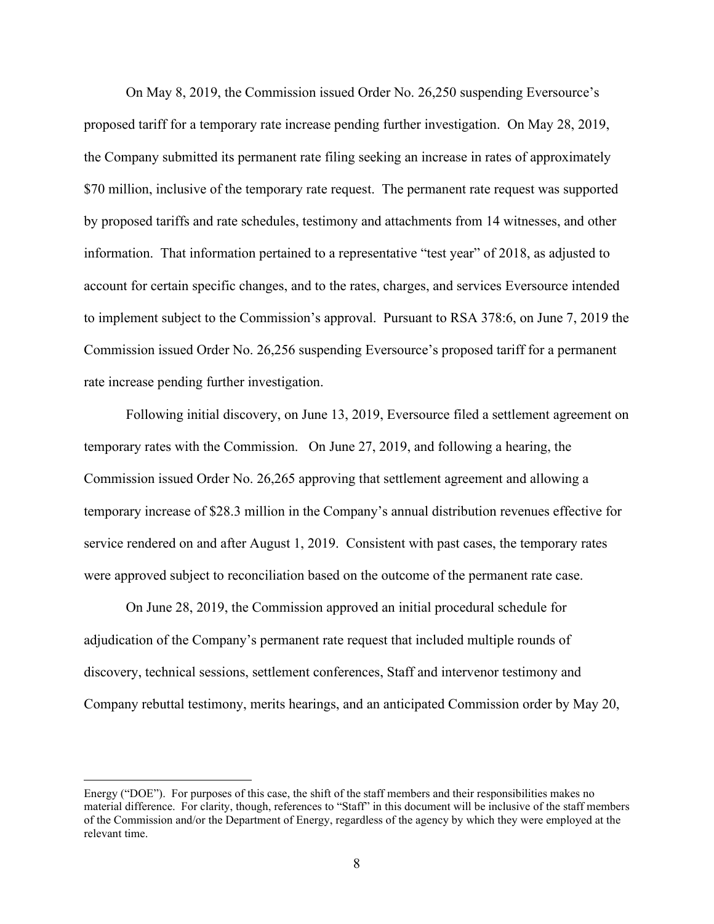On May 8, 2019, the Commission issued Order No. 26,250 suspending Eversource's proposed tariff for a temporary rate increase pending further investigation. On May 28, 2019, the Company submitted its permanent rate filing seeking an increase in rates of approximately \$70 million, inclusive of the temporary rate request. The permanent rate request was supported by proposed tariffs and rate schedules, testimony and attachments from 14 witnesses, and other information. That information pertained to a representative "test year" of 2018, as adjusted to account for certain specific changes, and to the rates, charges, and services Eversource intended to implement subject to the Commission's approval. Pursuant to RSA 378:6, on June 7, 2019 the Commission issued Order No. 26,256 suspending Eversource's proposed tariff for a permanent rate increase pending further investigation.

Following initial discovery, on June 13, 2019, Eversource filed a settlement agreement on temporary rates with the Commission. On June 27, 2019, and following a hearing, the Commission issued Order No. 26,265 approving that settlement agreement and allowing a temporary increase of \$28.3 million in the Company's annual distribution revenues effective for service rendered on and after August 1, 2019. Consistent with past cases, the temporary rates were approved subject to reconciliation based on the outcome of the permanent rate case.

On June 28, 2019, the Commission approved an initial procedural schedule for adjudication of the Company's permanent rate request that included multiple rounds of discovery, technical sessions, settlement conferences, Staff and intervenor testimony and Company rebuttal testimony, merits hearings, and an anticipated Commission order by May 20,

Energy ("DOE"). For purposes of this case, the shift of the staff members and their responsibilities makes no material difference. For clarity, though, references to "Staff" in this document will be inclusive of the staff members of the Commission and/or the Department of Energy, regardless of the agency by which they were employed at the relevant time.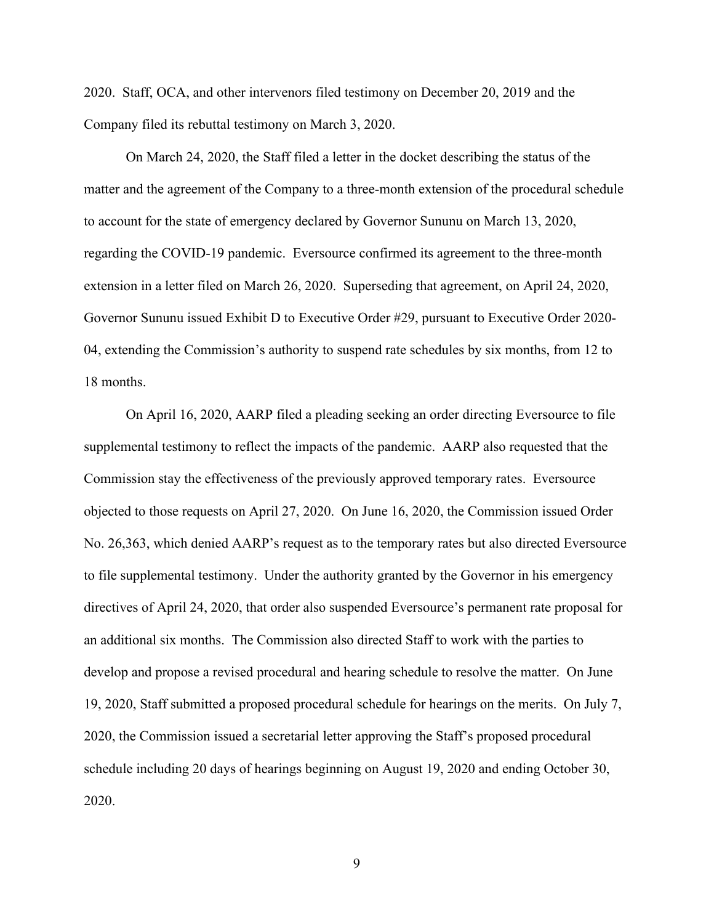2020. Staff, OCA, and other intervenors filed testimony on December 20, 2019 and the Company filed its rebuttal testimony on March 3, 2020.

On March 24, 2020, the Staff filed a letter in the docket describing the status of the matter and the agreement of the Company to a three-month extension of the procedural schedule to account for the state of emergency declared by Governor Sununu on March 13, 2020, regarding the COVID-19 pandemic. Eversource confirmed its agreement to the three-month extension in a letter filed on March 26, 2020. Superseding that agreement, on April 24, 2020, Governor Sununu issued Exhibit D to Executive Order #29, pursuant to Executive Order 2020- 04, extending the Commission's authority to suspend rate schedules by six months, from 12 to 18 months.

On April 16, 2020, AARP filed a pleading seeking an order directing Eversource to file supplemental testimony to reflect the impacts of the pandemic. AARP also requested that the Commission stay the effectiveness of the previously approved temporary rates. Eversource objected to those requests on April 27, 2020. On June 16, 2020, the Commission issued Order No. 26,363, which denied AARP's request as to the temporary rates but also directed Eversource to file supplemental testimony. Under the authority granted by the Governor in his emergency directives of April 24, 2020, that order also suspended Eversource's permanent rate proposal for an additional six months. The Commission also directed Staff to work with the parties to develop and propose a revised procedural and hearing schedule to resolve the matter. On June 19, 2020, Staff submitted a proposed procedural schedule for hearings on the merits. On July 7, 2020, the Commission issued a secretarial letter approving the Staff's proposed procedural schedule including 20 days of hearings beginning on August 19, 2020 and ending October 30, 2020.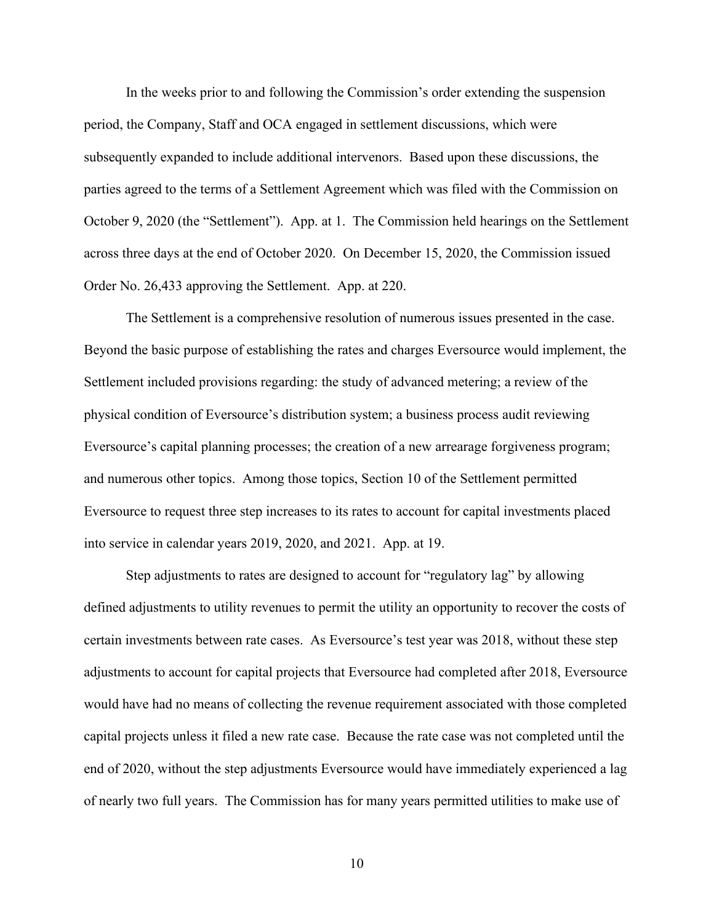In the weeks prior to and following the Commission's order extending the suspension period, the Company, Staff and OCA engaged in settlement discussions, which were subsequently expanded to include additional intervenors. Based upon these discussions, the parties agreed to the terms of a Settlement Agreement which was filed with the Commission on October 9, 2020 (the "Settlement"). App. at 1. The Commission held hearings on the Settlement across three days at the end of October 2020. On December 15, 2020, the Commission issued Order No. 26,433 approving the Settlement. App. at 220.

The Settlement is a comprehensive resolution of numerous issues presented in the case. Beyond the basic purpose of establishing the rates and charges Eversource would implement, the Settlement included provisions regarding: the study of advanced metering; a review of the physical condition of Eversource's distribution system; a business process audit reviewing Eversource's capital planning processes; the creation of a new arrearage forgiveness program; and numerous other topics. Among those topics, Section 10 of the Settlement permitted Eversource to request three step increases to its rates to account for capital investments placed into service in calendar years 2019, 2020, and 2021. App. at 19.

Step adjustments to rates are designed to account for "regulatory lag" by allowing defined adjustments to utility revenues to permit the utility an opportunity to recover the costs of certain investments between rate cases. As Eversource's test year was 2018, without these step adjustments to account for capital projects that Eversource had completed after 2018, Eversource would have had no means of collecting the revenue requirement associated with those completed capital projects unless it filed a new rate case. Because the rate case was not completed until the end of 2020, without the step adjustments Eversource would have immediately experienced a lag of nearly two full years. The Commission has for many years permitted utilities to make use of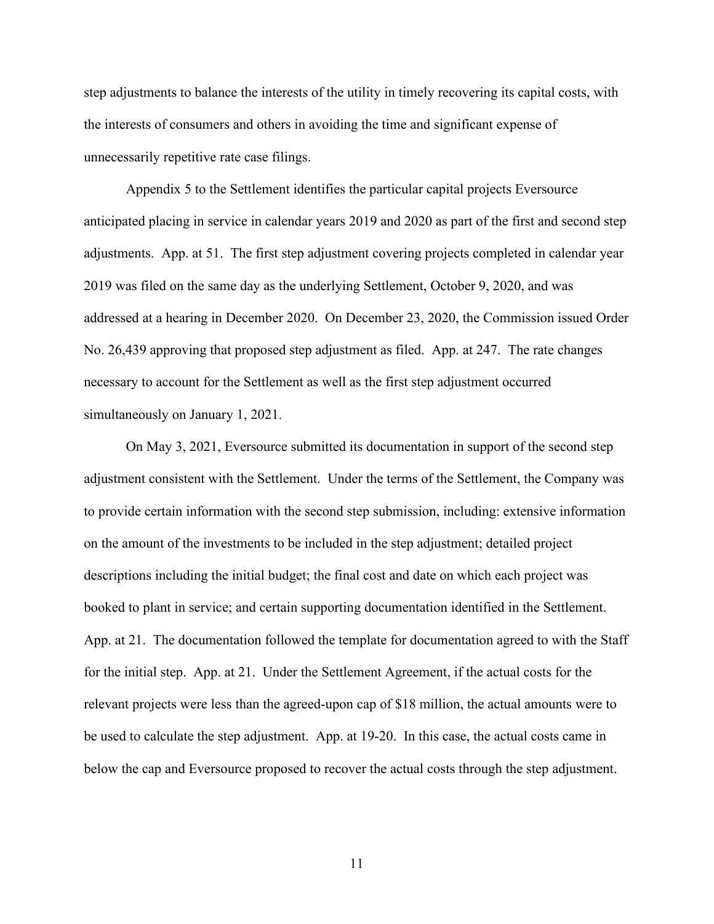step adjustments to balance the interests of the utility in timely recovering its capital costs, with the interests of consumers and others in avoiding the time and significant expense of unnecessarily repetitive rate case filings.

Appendix 5 to the Settlement identifies the particular capital projects Eversource anticipated placing in service in calendar years 2019 and 2020 as part of the first and second step adjustments. App. at 51. The first step adjustment covering projects completed in calendar year 2019 was filed on the same day as the underlying Settlement, October 9, 2020, and was addressed at a hearing in December 2020. On December 23, 2020, the Commission issued Order No. 26,439 approving that proposed step adjustment as filed. App. at 247. The rate changes necessary to account for the Settlement as well as the first step adjustment occurred simultaneously on January 1, 2021.

On May 3, 2021, Eversource submitted its documentation in support of the second step adjustment consistent with the Settlement. Under the terms of the Settlement, the Company was to provide certain information with the second step submission, including: extensive information on the amount of the investments to be included in the step adjustment; detailed project descriptions including the initial budget; the final cost and date on which each project was booked to plant in service; and certain supporting documentation identified in the Settlement. App. at 21. The documentation followed the template for documentation agreed to with the Staff for the initial step. App. at 21. Under the Settlement Agreement, if the actual costs for the relevant projects were less than the agreed-upon cap of \$18 million, the actual amounts were to be used to calculate the step adjustment. App. at 19-20. In this case, the actual costs came in below the cap and Eversource proposed to recover the actual costs through the step adjustment.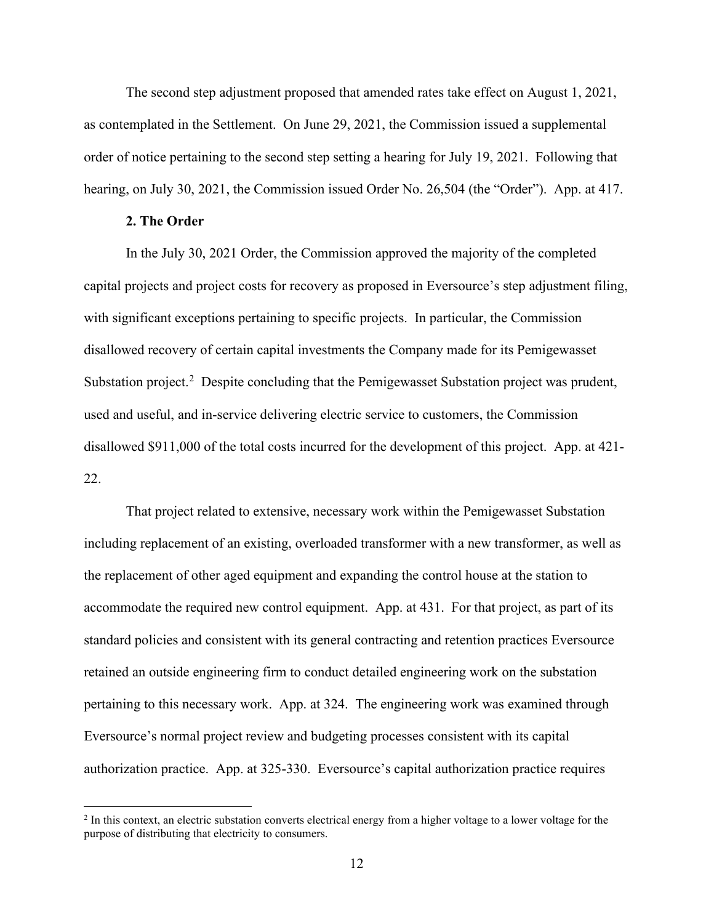The second step adjustment proposed that amended rates take effect on August 1, 2021, as contemplated in the Settlement. On June 29, 2021, the Commission issued a supplemental order of notice pertaining to the second step setting a hearing for July 19, 2021. Following that hearing, on July 30, 2021, the Commission issued Order No. 26,504 (the "Order"). App. at 417.

#### **2. The Order**

In the July 30, 2021 Order, the Commission approved the majority of the completed capital projects and project costs for recovery as proposed in Eversource's step adjustment filing, with significant exceptions pertaining to specific projects. In particular, the Commission disallowed recovery of certain capital investments the Company made for its Pemigewasset Substation project.<sup>[2](#page-13-0)</sup> Despite concluding that the Pemigewasset Substation project was prudent, used and useful, and in-service delivering electric service to customers, the Commission disallowed \$911,000 of the total costs incurred for the development of this project. App. at 421- 22.

That project related to extensive, necessary work within the Pemigewasset Substation including replacement of an existing, overloaded transformer with a new transformer, as well as the replacement of other aged equipment and expanding the control house at the station to accommodate the required new control equipment. App. at 431. For that project, as part of its standard policies and consistent with its general contracting and retention practices Eversource retained an outside engineering firm to conduct detailed engineering work on the substation pertaining to this necessary work. App. at 324. The engineering work was examined through Eversource's normal project review and budgeting processes consistent with its capital authorization practice. App. at 325-330. Eversource's capital authorization practice requires

<span id="page-13-0"></span><sup>&</sup>lt;sup>2</sup> In this context, an electric substation converts electrical energy from a higher voltage to a lower voltage for the purpose of distributing that electricity to consumers.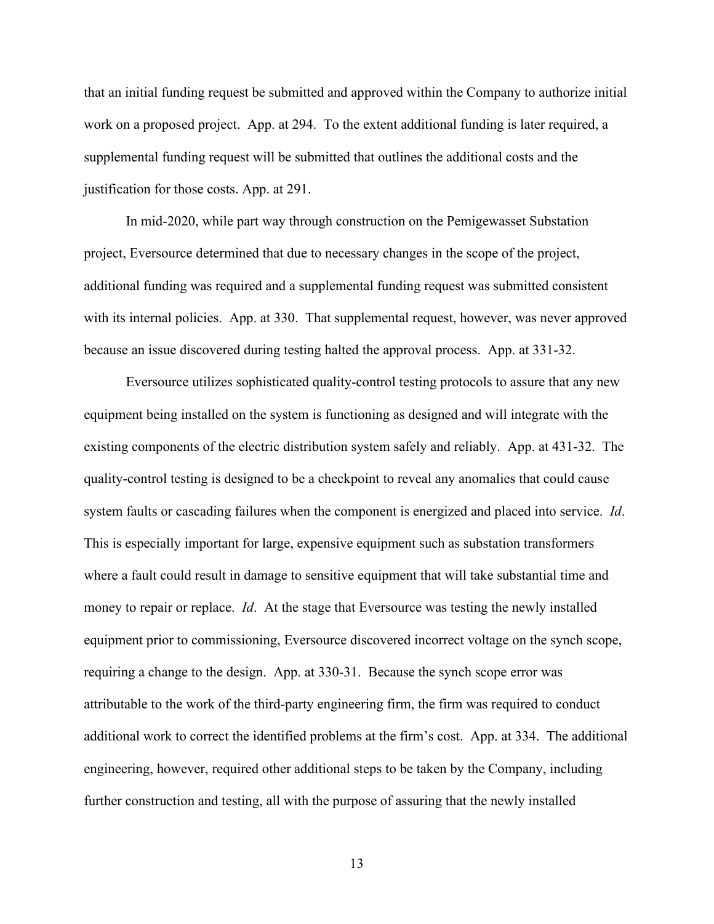that an initial funding request be submitted and approved within the Company to authorize initial work on a proposed project. App. at 294. To the extent additional funding is later required, a supplemental funding request will be submitted that outlines the additional costs and the justification for those costs. App. at 291.

In mid-2020, while part way through construction on the Pemigewasset Substation project, Eversource determined that due to necessary changes in the scope of the project, additional funding was required and a supplemental funding request was submitted consistent with its internal policies. App. at 330. That supplemental request, however, was never approved because an issue discovered during testing halted the approval process. App. at 331-32.

Eversource utilizes sophisticated quality-control testing protocols to assure that any new equipment being installed on the system is functioning as designed and will integrate with the existing components of the electric distribution system safely and reliably. App. at 431-32. The quality-control testing is designed to be a checkpoint to reveal any anomalies that could cause system faults or cascading failures when the component is energized and placed into service. *Id*. This is especially important for large, expensive equipment such as substation transformers where a fault could result in damage to sensitive equipment that will take substantial time and money to repair or replace. *Id*. At the stage that Eversource was testing the newly installed equipment prior to commissioning, Eversource discovered incorrect voltage on the synch scope, requiring a change to the design. App. at 330-31. Because the synch scope error was attributable to the work of the third-party engineering firm, the firm was required to conduct additional work to correct the identified problems at the firm's cost. App. at 334. The additional engineering, however, required other additional steps to be taken by the Company, including further construction and testing, all with the purpose of assuring that the newly installed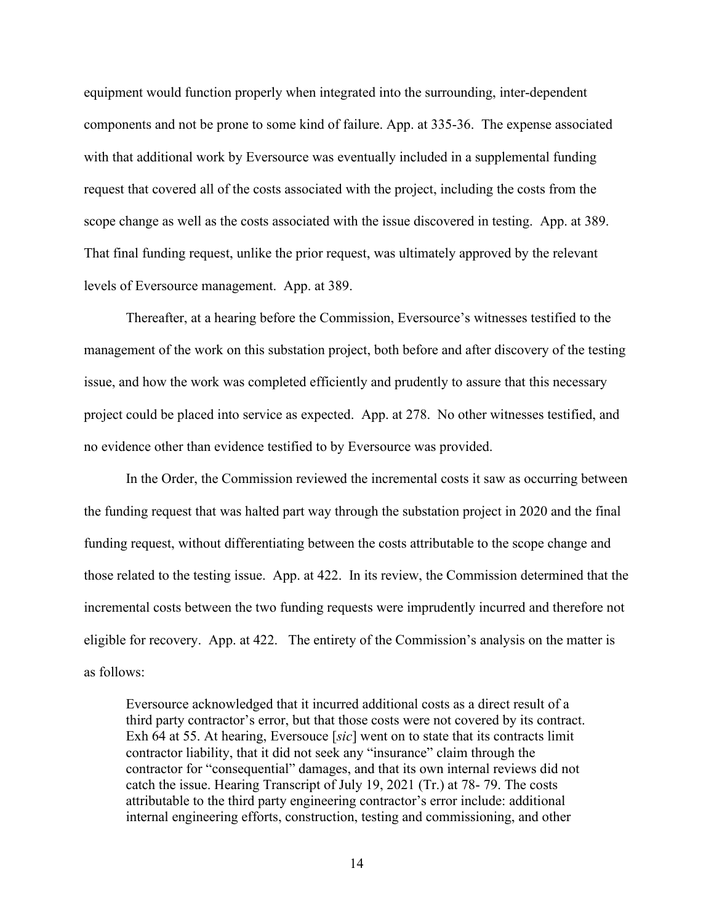equipment would function properly when integrated into the surrounding, inter-dependent components and not be prone to some kind of failure. App. at 335-36. The expense associated with that additional work by Eversource was eventually included in a supplemental funding request that covered all of the costs associated with the project, including the costs from the scope change as well as the costs associated with the issue discovered in testing. App. at 389. That final funding request, unlike the prior request, was ultimately approved by the relevant levels of Eversource management. App. at 389.

Thereafter, at a hearing before the Commission, Eversource's witnesses testified to the management of the work on this substation project, both before and after discovery of the testing issue, and how the work was completed efficiently and prudently to assure that this necessary project could be placed into service as expected. App. at 278. No other witnesses testified, and no evidence other than evidence testified to by Eversource was provided.

In the Order, the Commission reviewed the incremental costs it saw as occurring between the funding request that was halted part way through the substation project in 2020 and the final funding request, without differentiating between the costs attributable to the scope change and those related to the testing issue. App. at 422. In its review, the Commission determined that the incremental costs between the two funding requests were imprudently incurred and therefore not eligible for recovery. App. at 422. The entirety of the Commission's analysis on the matter is as follows:

Eversource acknowledged that it incurred additional costs as a direct result of a third party contractor's error, but that those costs were not covered by its contract. Exh 64 at 55. At hearing, Eversouce [*sic*] went on to state that its contracts limit contractor liability, that it did not seek any "insurance" claim through the contractor for "consequential" damages, and that its own internal reviews did not catch the issue. Hearing Transcript of July 19, 2021 (Tr.) at 78- 79. The costs attributable to the third party engineering contractor's error include: additional internal engineering efforts, construction, testing and commissioning, and other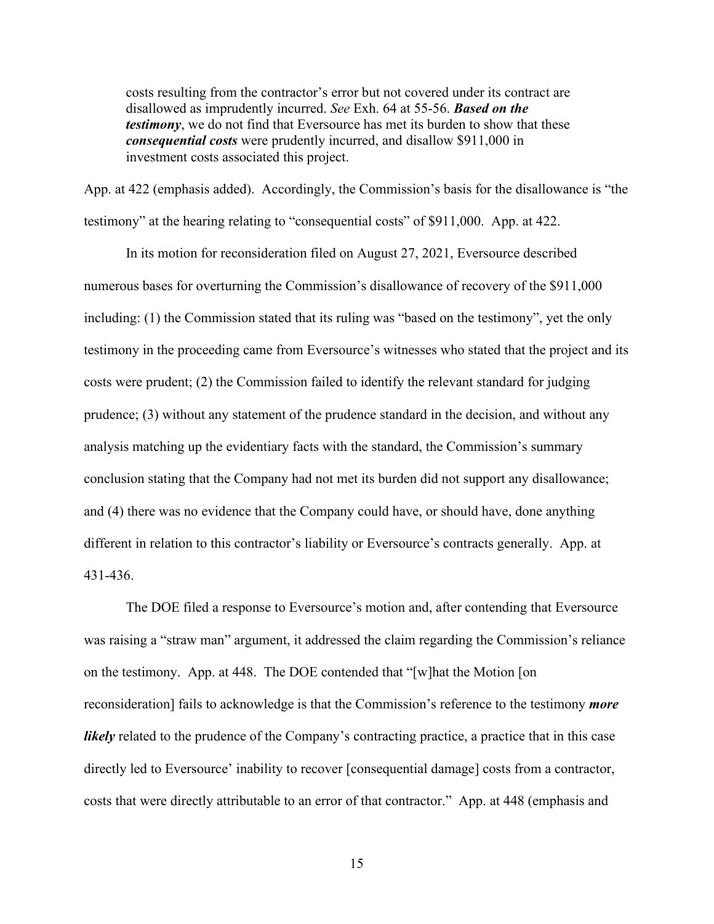costs resulting from the contractor's error but not covered under its contract are disallowed as imprudently incurred. *See* Exh. 64 at 55-56. *Based on the testimony*, we do not find that Eversource has met its burden to show that these *consequential costs* were prudently incurred, and disallow \$911,000 in investment costs associated this project.

App. at 422 (emphasis added). Accordingly, the Commission's basis for the disallowance is "the testimony" at the hearing relating to "consequential costs" of \$911,000. App. at 422.

In its motion for reconsideration filed on August 27, 2021, Eversource described numerous bases for overturning the Commission's disallowance of recovery of the \$911,000 including: (1) the Commission stated that its ruling was "based on the testimony", yet the only testimony in the proceeding came from Eversource's witnesses who stated that the project and its costs were prudent; (2) the Commission failed to identify the relevant standard for judging prudence; (3) without any statement of the prudence standard in the decision, and without any analysis matching up the evidentiary facts with the standard, the Commission's summary conclusion stating that the Company had not met its burden did not support any disallowance; and (4) there was no evidence that the Company could have, or should have, done anything different in relation to this contractor's liability or Eversource's contracts generally. App. at 431-436.

The DOE filed a response to Eversource's motion and, after contending that Eversource was raising a "straw man" argument, it addressed the claim regarding the Commission's reliance on the testimony. App. at 448. The DOE contended that "[w]hat the Motion [on reconsideration] fails to acknowledge is that the Commission's reference to the testimony *more likely* related to the prudence of the Company's contracting practice, a practice that in this case directly led to Eversource' inability to recover [consequential damage] costs from a contractor, costs that were directly attributable to an error of that contractor." App. at 448 (emphasis and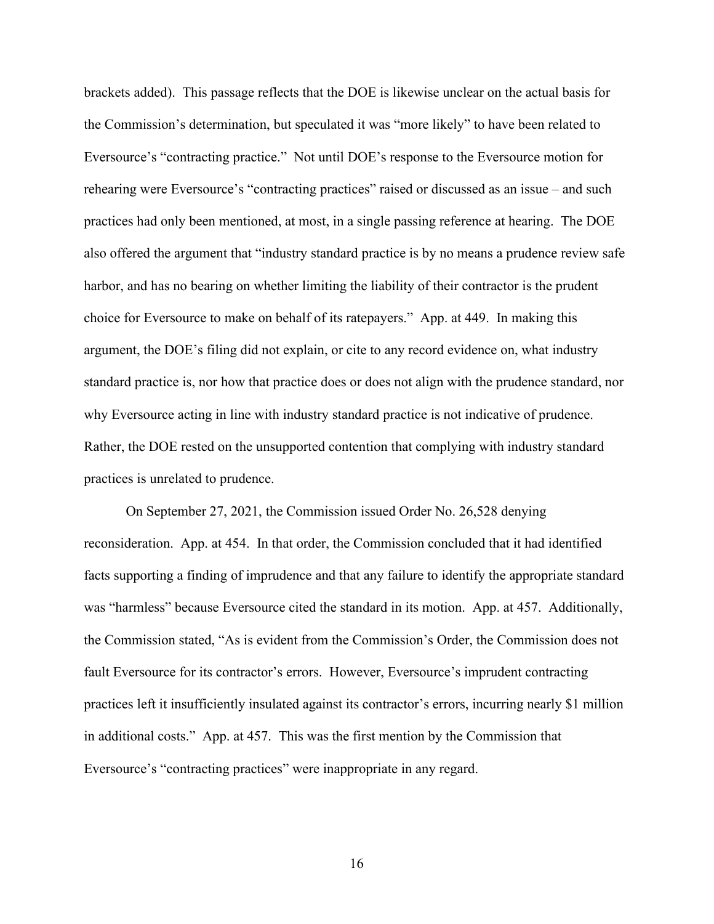brackets added). This passage reflects that the DOE is likewise unclear on the actual basis for the Commission's determination, but speculated it was "more likely" to have been related to Eversource's "contracting practice." Not until DOE's response to the Eversource motion for rehearing were Eversource's "contracting practices" raised or discussed as an issue – and such practices had only been mentioned, at most, in a single passing reference at hearing. The DOE also offered the argument that "industry standard practice is by no means a prudence review safe harbor, and has no bearing on whether limiting the liability of their contractor is the prudent choice for Eversource to make on behalf of its ratepayers." App. at 449. In making this argument, the DOE's filing did not explain, or cite to any record evidence on, what industry standard practice is, nor how that practice does or does not align with the prudence standard, nor why Eversource acting in line with industry standard practice is not indicative of prudence. Rather, the DOE rested on the unsupported contention that complying with industry standard practices is unrelated to prudence.

On September 27, 2021, the Commission issued Order No. 26,528 denying reconsideration. App. at 454. In that order, the Commission concluded that it had identified facts supporting a finding of imprudence and that any failure to identify the appropriate standard was "harmless" because Eversource cited the standard in its motion. App. at 457. Additionally, the Commission stated, "As is evident from the Commission's Order, the Commission does not fault Eversource for its contractor's errors. However, Eversource's imprudent contracting practices left it insufficiently insulated against its contractor's errors, incurring nearly \$1 million in additional costs." App. at 457. This was the first mention by the Commission that Eversource's "contracting practices" were inappropriate in any regard.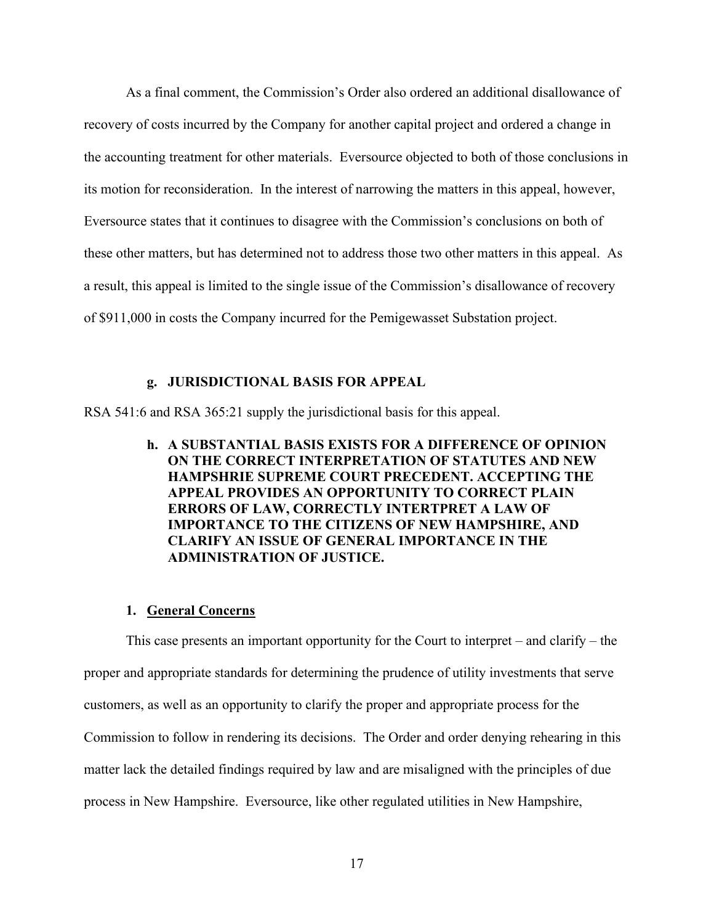As a final comment, the Commission's Order also ordered an additional disallowance of recovery of costs incurred by the Company for another capital project and ordered a change in the accounting treatment for other materials. Eversource objected to both of those conclusions in its motion for reconsideration. In the interest of narrowing the matters in this appeal, however, Eversource states that it continues to disagree with the Commission's conclusions on both of these other matters, but has determined not to address those two other matters in this appeal. As a result, this appeal is limited to the single issue of the Commission's disallowance of recovery of \$911,000 in costs the Company incurred for the Pemigewasset Substation project.

#### **g. JURISDICTIONAL BASIS FOR APPEAL**

<span id="page-18-1"></span><span id="page-18-0"></span>RSA 541:6 and RSA 365:21 supply the jurisdictional basis for this appeal.

**h. A SUBSTANTIAL BASIS EXISTS FOR A DIFFERENCE OF OPINION ON THE CORRECT INTERPRETATION OF STATUTES AND NEW HAMPSHRIE SUPREME COURT PRECEDENT. ACCEPTING THE APPEAL PROVIDES AN OPPORTUNITY TO CORRECT PLAIN ERRORS OF LAW, CORRECTLY INTERTPRET A LAW OF IMPORTANCE TO THE CITIZENS OF NEW HAMPSHIRE, AND CLARIFY AN ISSUE OF GENERAL IMPORTANCE IN THE ADMINISTRATION OF JUSTICE.**

#### **1. General Concerns**

<span id="page-18-2"></span>This case presents an important opportunity for the Court to interpret – and clarify – the proper and appropriate standards for determining the prudence of utility investments that serve customers, as well as an opportunity to clarify the proper and appropriate process for the Commission to follow in rendering its decisions. The Order and order denying rehearing in this matter lack the detailed findings required by law and are misaligned with the principles of due process in New Hampshire. Eversource, like other regulated utilities in New Hampshire,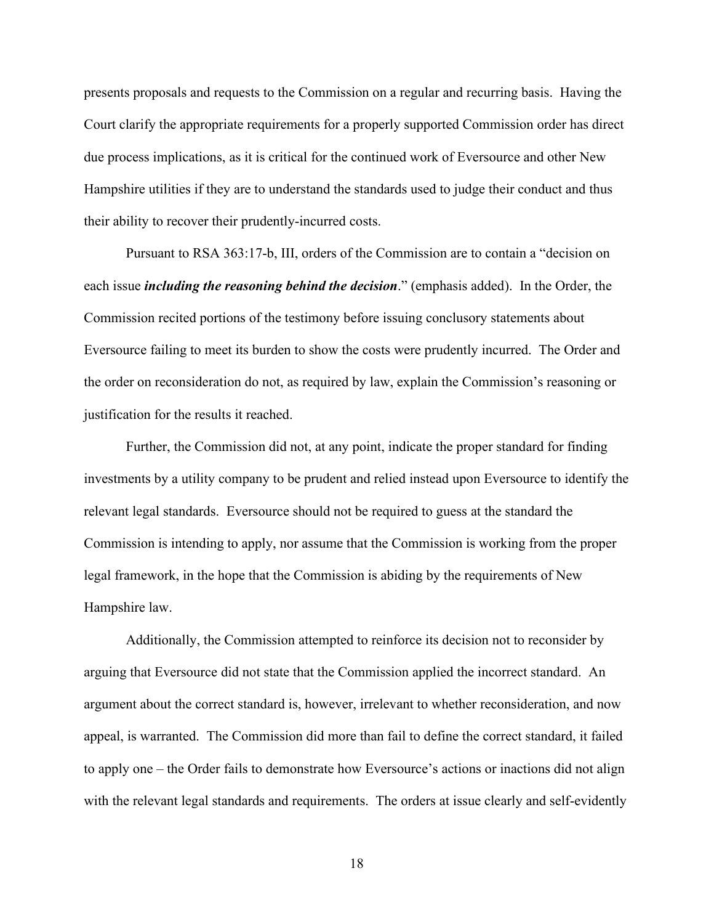presents proposals and requests to the Commission on a regular and recurring basis. Having the Court clarify the appropriate requirements for a properly supported Commission order has direct due process implications, as it is critical for the continued work of Eversource and other New Hampshire utilities if they are to understand the standards used to judge their conduct and thus their ability to recover their prudently-incurred costs.

Pursuant to RSA 363:17-b, III, orders of the Commission are to contain a "decision on each issue *including the reasoning behind the decision*." (emphasis added). In the Order, the Commission recited portions of the testimony before issuing conclusory statements about Eversource failing to meet its burden to show the costs were prudently incurred. The Order and the order on reconsideration do not, as required by law, explain the Commission's reasoning or justification for the results it reached.

Further, the Commission did not, at any point, indicate the proper standard for finding investments by a utility company to be prudent and relied instead upon Eversource to identify the relevant legal standards. Eversource should not be required to guess at the standard the Commission is intending to apply, nor assume that the Commission is working from the proper legal framework, in the hope that the Commission is abiding by the requirements of New Hampshire law.

Additionally, the Commission attempted to reinforce its decision not to reconsider by arguing that Eversource did not state that the Commission applied the incorrect standard. An argument about the correct standard is, however, irrelevant to whether reconsideration, and now appeal, is warranted. The Commission did more than fail to define the correct standard, it failed to apply one – the Order fails to demonstrate how Eversource's actions or inactions did not align with the relevant legal standards and requirements. The orders at issue clearly and self-evidently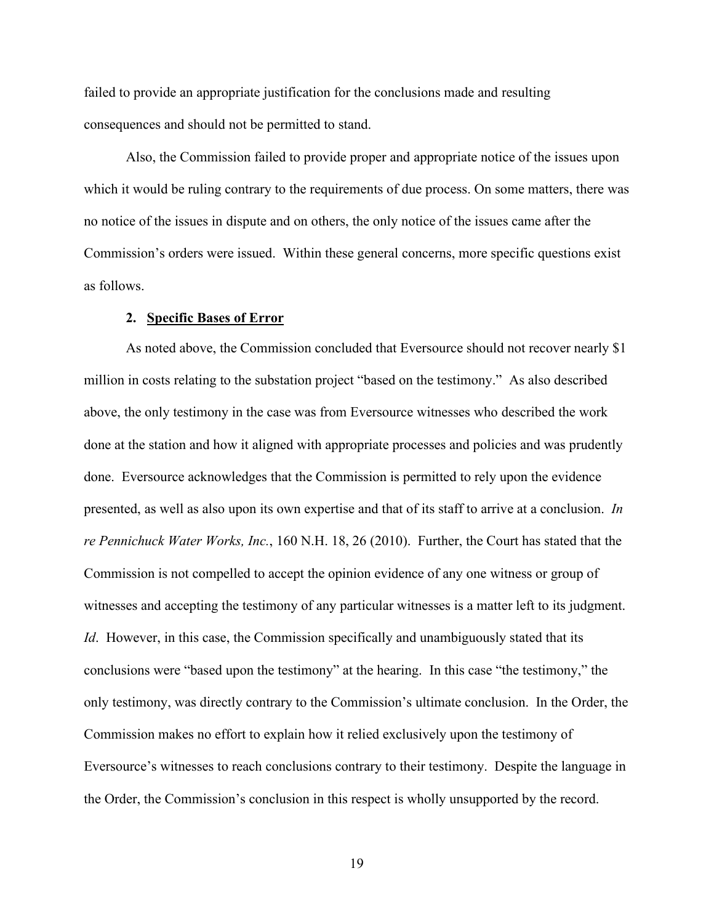failed to provide an appropriate justification for the conclusions made and resulting consequences and should not be permitted to stand.

Also, the Commission failed to provide proper and appropriate notice of the issues upon which it would be ruling contrary to the requirements of due process. On some matters, there was no notice of the issues in dispute and on others, the only notice of the issues came after the Commission's orders were issued. Within these general concerns, more specific questions exist as follows.

#### **2. Specific Bases of Error**

<span id="page-20-0"></span>As noted above, the Commission concluded that Eversource should not recover nearly \$1 million in costs relating to the substation project "based on the testimony." As also described above, the only testimony in the case was from Eversource witnesses who described the work done at the station and how it aligned with appropriate processes and policies and was prudently done. Eversource acknowledges that the Commission is permitted to rely upon the evidence presented, as well as also upon its own expertise and that of its staff to arrive at a conclusion. *In re Pennichuck Water Works, Inc.*, 160 N.H. 18, 26 (2010). Further, the Court has stated that the Commission is not compelled to accept the opinion evidence of any one witness or group of witnesses and accepting the testimony of any particular witnesses is a matter left to its judgment. *Id*. However, in this case, the Commission specifically and unambiguously stated that its conclusions were "based upon the testimony" at the hearing. In this case "the testimony," the only testimony, was directly contrary to the Commission's ultimate conclusion. In the Order, the Commission makes no effort to explain how it relied exclusively upon the testimony of Eversource's witnesses to reach conclusions contrary to their testimony. Despite the language in the Order, the Commission's conclusion in this respect is wholly unsupported by the record.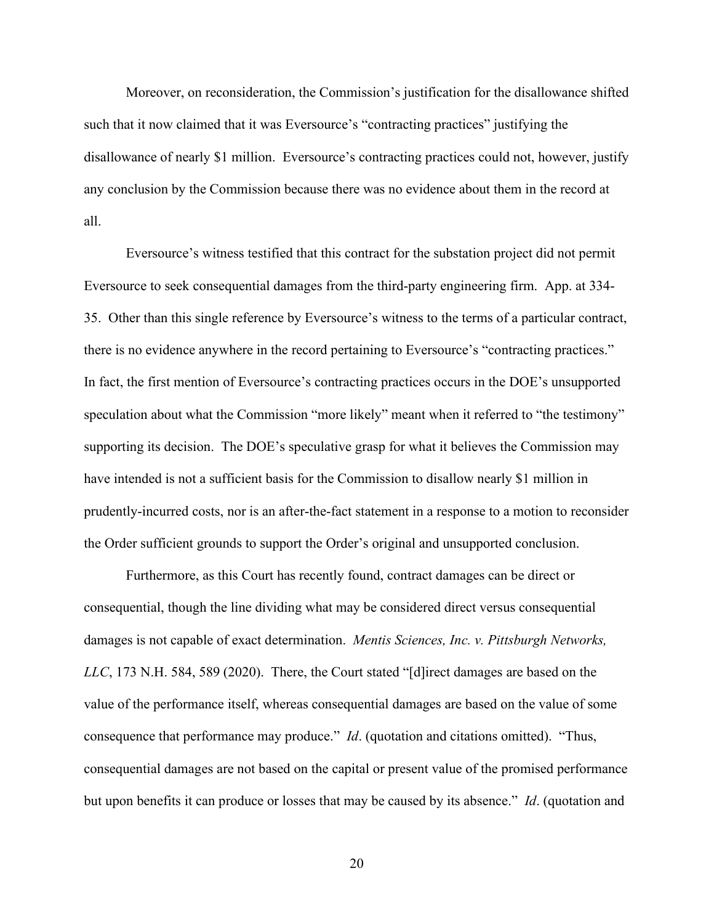Moreover, on reconsideration, the Commission's justification for the disallowance shifted such that it now claimed that it was Eversource's "contracting practices" justifying the disallowance of nearly \$1 million. Eversource's contracting practices could not, however, justify any conclusion by the Commission because there was no evidence about them in the record at all.

Eversource's witness testified that this contract for the substation project did not permit Eversource to seek consequential damages from the third-party engineering firm. App. at 334- 35. Other than this single reference by Eversource's witness to the terms of a particular contract, there is no evidence anywhere in the record pertaining to Eversource's "contracting practices." In fact, the first mention of Eversource's contracting practices occurs in the DOE's unsupported speculation about what the Commission "more likely" meant when it referred to "the testimony" supporting its decision. The DOE's speculative grasp for what it believes the Commission may have intended is not a sufficient basis for the Commission to disallow nearly \$1 million in prudently-incurred costs, nor is an after-the-fact statement in a response to a motion to reconsider the Order sufficient grounds to support the Order's original and unsupported conclusion.

Furthermore, as this Court has recently found, contract damages can be direct or consequential, though the line dividing what may be considered direct versus consequential damages is not capable of exact determination. *Mentis Sciences, Inc. v. Pittsburgh Networks, LLC*, 173 N.H. 584, 589 (2020). There, the Court stated "[d]irect damages are based on the value of the performance itself, whereas consequential damages are based on the value of some consequence that performance may produce." *Id*. (quotation and citations omitted). "Thus, consequential damages are not based on the capital or present value of the promised performance but upon benefits it can produce or losses that may be caused by its absence." *Id*. (quotation and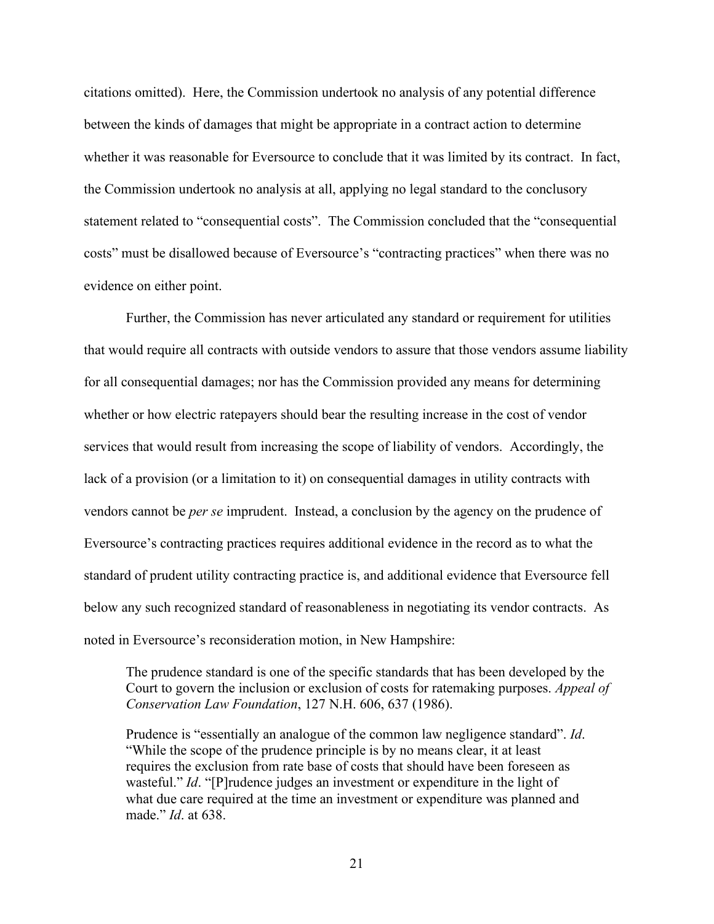citations omitted). Here, the Commission undertook no analysis of any potential difference between the kinds of damages that might be appropriate in a contract action to determine whether it was reasonable for Eversource to conclude that it was limited by its contract. In fact, the Commission undertook no analysis at all, applying no legal standard to the conclusory statement related to "consequential costs". The Commission concluded that the "consequential costs" must be disallowed because of Eversource's "contracting practices" when there was no evidence on either point.

Further, the Commission has never articulated any standard or requirement for utilities that would require all contracts with outside vendors to assure that those vendors assume liability for all consequential damages; nor has the Commission provided any means for determining whether or how electric ratepayers should bear the resulting increase in the cost of vendor services that would result from increasing the scope of liability of vendors. Accordingly, the lack of a provision (or a limitation to it) on consequential damages in utility contracts with vendors cannot be *per se* imprudent. Instead, a conclusion by the agency on the prudence of Eversource's contracting practices requires additional evidence in the record as to what the standard of prudent utility contracting practice is, and additional evidence that Eversource fell below any such recognized standard of reasonableness in negotiating its vendor contracts. As noted in Eversource's reconsideration motion, in New Hampshire:

The prudence standard is one of the specific standards that has been developed by the Court to govern the inclusion or exclusion of costs for ratemaking purposes. *Appeal of Conservation Law Foundation*, 127 N.H. 606, 637 (1986).

Prudence is "essentially an analogue of the common law negligence standard". *Id*. "While the scope of the prudence principle is by no means clear, it at least requires the exclusion from rate base of costs that should have been foreseen as wasteful." *Id*. "[P]rudence judges an investment or expenditure in the light of what due care required at the time an investment or expenditure was planned and made." *Id*. at 638.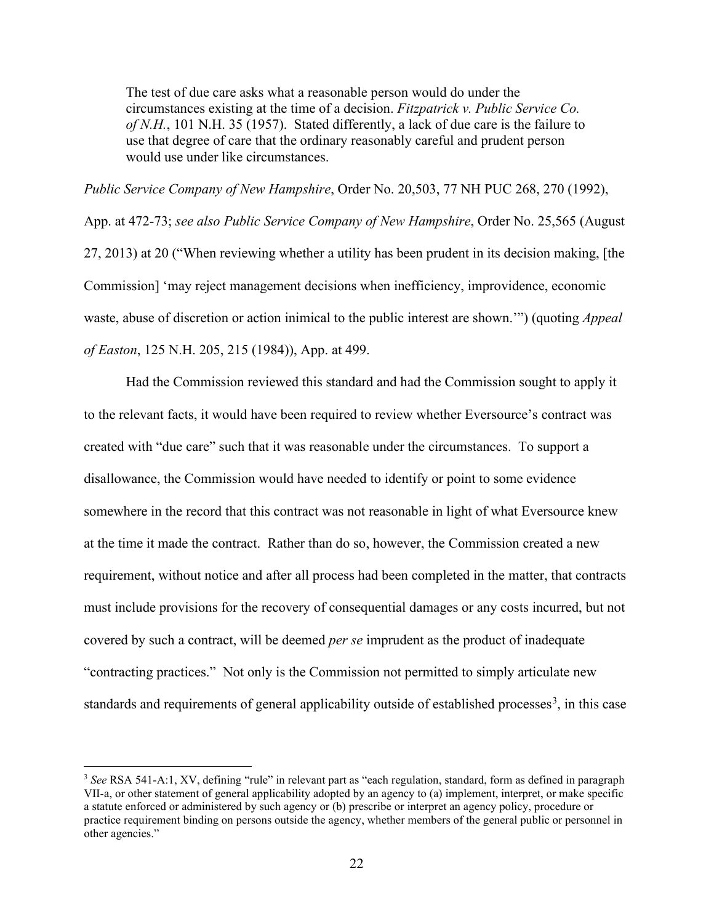The test of due care asks what a reasonable person would do under the circumstances existing at the time of a decision. *Fitzpatrick v. Public Service Co. of N.H.*, 101 N.H. 35 (1957). Stated differently, a lack of due care is the failure to use that degree of care that the ordinary reasonably careful and prudent person would use under like circumstances.

*Public Service Company of New Hampshire*, Order No. 20,503, 77 NH PUC 268, 270 (1992), App. at 472-73; *see also Public Service Company of New Hampshire*, Order No. 25,565 (August 27, 2013) at 20 ("When reviewing whether a utility has been prudent in its decision making, [the Commission] 'may reject management decisions when inefficiency, improvidence, economic waste, abuse of discretion or action inimical to the public interest are shown.'") (quoting *Appeal of Easton*, 125 N.H. 205, 215 (1984)), App. at 499.

Had the Commission reviewed this standard and had the Commission sought to apply it to the relevant facts, it would have been required to review whether Eversource's contract was created with "due care" such that it was reasonable under the circumstances. To support a disallowance, the Commission would have needed to identify or point to some evidence somewhere in the record that this contract was not reasonable in light of what Eversource knew at the time it made the contract. Rather than do so, however, the Commission created a new requirement, without notice and after all process had been completed in the matter, that contracts must include provisions for the recovery of consequential damages or any costs incurred, but not covered by such a contract, will be deemed *per se* imprudent as the product of inadequate "contracting practices." Not only is the Commission not permitted to simply articulate new standards and requirements of general applicability outside of established processes<sup>[3](#page-23-0)</sup>, in this case

<span id="page-23-0"></span><sup>3</sup> *See* RSA 541-A:1, XV, defining "rule" in relevant part as "each regulation, standard, form as defined in paragraph VII-a, or other statement of general applicability adopted by an agency to (a) implement, interpret, or make specific a statute enforced or administered by such agency or (b) prescribe or interpret an agency policy, procedure or practice requirement binding on persons outside the agency, whether members of the general public or personnel in other agencies."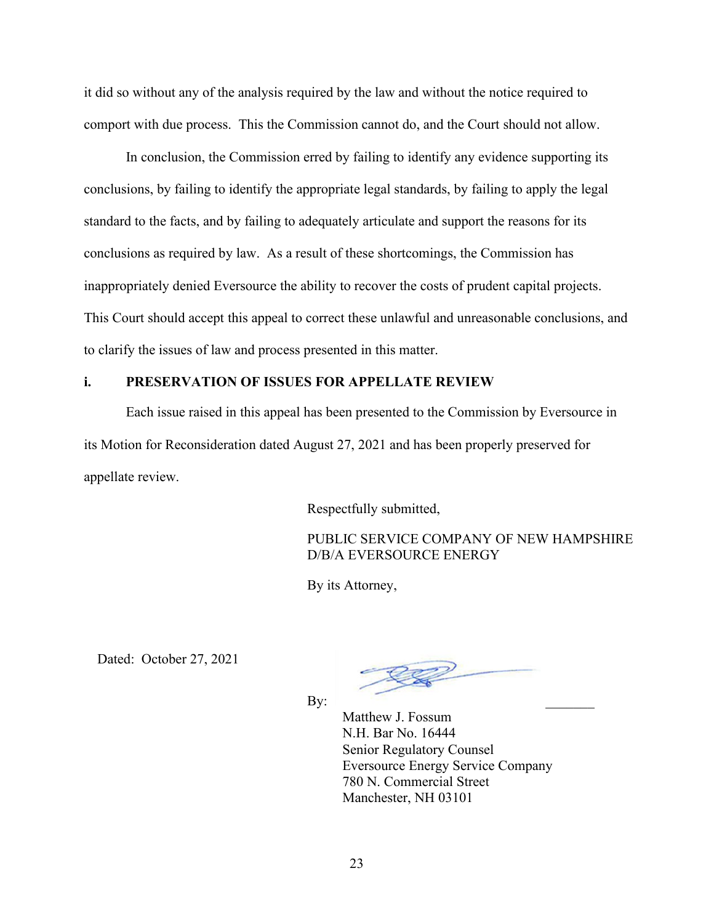it did so without any of the analysis required by the law and without the notice required to comport with due process. This the Commission cannot do, and the Court should not allow.

In conclusion, the Commission erred by failing to identify any evidence supporting its conclusions, by failing to identify the appropriate legal standards, by failing to apply the legal standard to the facts, and by failing to adequately articulate and support the reasons for its conclusions as required by law. As a result of these shortcomings, the Commission has inappropriately denied Eversource the ability to recover the costs of prudent capital projects. This Court should accept this appeal to correct these unlawful and unreasonable conclusions, and to clarify the issues of law and process presented in this matter.

# <span id="page-24-0"></span>**i. PRESERVATION OF ISSUES FOR APPELLATE REVIEW**

Each issue raised in this appeal has been presented to the Commission by Eversource in its Motion for Reconsideration dated August 27, 2021 and has been properly preserved for appellate review.

Respectfully submitted,

PUBLIC SERVICE COMPANY OF NEW HAMPSHIRE D/B/A EVERSOURCE ENERGY

By its Attorney,

Dated: October 27, 2021

By:  $\Box$ 

Matthew J. Fossum N.H. Bar No. 16444 Senior Regulatory Counsel Eversource Energy Service Company 780 N. Commercial Street Manchester, NH 03101